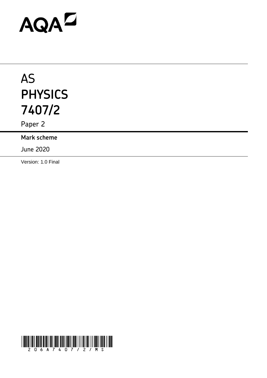# AQAD

## AS **PHYSICS 7407/2**

Paper 2

**Mark scheme**

June 2020

Version: 1.0 Final

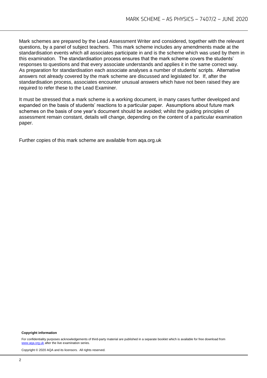Mark schemes are prepared by the Lead Assessment Writer and considered, together with the relevant questions, by a panel of subject teachers. This mark scheme includes any amendments made at the standardisation events which all associates participate in and is the scheme which was used by them in this examination. The standardisation process ensures that the mark scheme covers the students' responses to questions and that every associate understands and applies it in the same correct way. As preparation for standardisation each associate analyses a number of students' scripts. Alternative answers not already covered by the mark scheme are discussed and legislated for. If, after the standardisation process, associates encounter unusual answers which have not been raised they are required to refer these to the Lead Examiner.

It must be stressed that a mark scheme is a working document, in many cases further developed and expanded on the basis of students' reactions to a particular paper. Assumptions about future mark schemes on the basis of one year's document should be avoided; whilst the guiding principles of assessment remain constant, details will change, depending on the content of a particular examination paper.

Further copies of this mark scheme are available from aqa.org.uk

#### **Copyright information**

For confidentiality purposes acknowledgements of third-party material are published in a separate booklet which is available for free download from [www.aqa.org.uk](http://www.aqa.org.uk/) after the live examination series.

Copyright © 2020 AQA and its licensors. All rights reserved.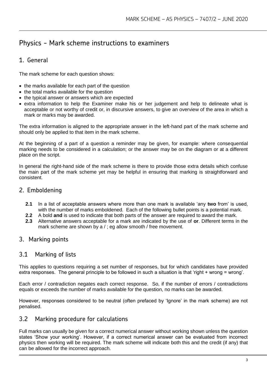### Physics - Mark scheme instructions to examiners

#### 1. General

The mark scheme for each question shows:

- the marks available for each part of the question
- the total marks available for the question
- the typical answer or answers which are expected
- extra information to help the Examiner make his or her judgement and help to delineate what is acceptable or not worthy of credit or, in discursive answers, to give an overview of the area in which a mark or marks may be awarded.

The extra information is aligned to the appropriate answer in the left-hand part of the mark scheme and should only be applied to that item in the mark scheme.

At the beginning of a part of a question a reminder may be given, for example: where consequential marking needs to be considered in a calculation; or the answer may be on the diagram or at a different place on the script.

In general the right-hand side of the mark scheme is there to provide those extra details which confuse the main part of the mark scheme yet may be helpful in ensuring that marking is straightforward and consistent.

#### 2. Emboldening

- **2.1** In a list of acceptable answers where more than one mark is available 'any **two** from' is used, with the number of marks emboldened. Each of the following bullet points is a potential mark.
- **2.2** A bold **and** is used to indicate that both parts of the answer are required to award the mark.
- **2.3** Alternative answers acceptable for a mark are indicated by the use of **or**. Different terms in the mark scheme are shown by a / ; eg allow smooth / free movement.

#### 3. Marking points

#### 3.1 Marking of lists

This applies to questions requiring a set number of responses, but for which candidates have provided extra responses. The general principle to be followed in such a situation is that 'right + wrong = wrong'.

Each error / contradiction negates each correct response. So, if the number of errors / contradictions equals or exceeds the number of marks available for the question, no marks can be awarded.

However, responses considered to be neutral (often prefaced by 'Ignore' in the mark scheme) are not penalised.

#### 3.2 Marking procedure for calculations

Full marks can usually be given for a correct numerical answer without working shown unless the question states 'Show your working'. However, if a correct numerical answer can be evaluated from incorrect physics then working will be required. The mark scheme will indicate both this and the credit (if any) that can be allowed for the incorrect approach.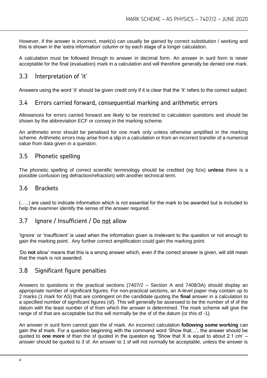However, if the answer is incorrect, mark(s) can usually be gained by correct substitution / working and this is shown in the 'extra information' column or by each stage of a longer calculation.

A calculation must be followed through to answer in decimal form. An answer in surd form is never acceptable for the final (evaluation) mark in a calculation and will therefore generally be denied one mark.

#### 3.3 Interpretation of 'it'

Answers using the word 'it' should be given credit only if it is clear that the 'it' refers to the correct subject.

#### 3.4 Errors carried forward, consequential marking and arithmetic errors

Allowances for errors carried forward are likely to be restricted to calculation questions and should be shown by the abbreviation ECF or *conseq* in the marking scheme.

An arithmetic error should be penalised for one mark only unless otherwise amplified in the marking scheme. Arithmetic errors may arise from a slip in a calculation or from an incorrect transfer of a numerical value from data given in a question.

#### 3.5 Phonetic spelling

The phonetic spelling of correct scientific terminology should be credited (eg fizix) **unless** there is a possible confusion (eg defraction/refraction) with another technical term.

#### 3.6 Brackets

(…..) are used to indicate information which is not essential for the mark to be awarded but is included to help the examiner identify the sense of the answer required.

#### 3.7 Ignore / Insufficient / Do not allow

'Ignore' or 'insufficient' is used when the information given is irrelevant to the question or not enough to gain the marking point. Any further correct amplification could gain the marking point.

'Do **not** allow' means that this is a wrong answer which, even if the correct answer is given, will still mean that the mark is not awarded.

#### 3.8 Significant figure penalties

Answers to questions in the practical sections (7407/2 – Section A and 7408/3A) should display an appropriate number of significant figures. For non-practical sections, an A-level paper may contain up to 2 marks (1 mark for AS) that are contingent on the candidate quoting the **final** answer in a calculation to a specified number of significant figures (sf). This will generally be assessed to be the number of sf of the datum with the least number of sf from which the answer is determined. The mark scheme will give the range of sf that are acceptable but this will normally be the sf of the datum (or this sf -1).

An answer in surd form cannot gain the sf mark. An incorrect calculation **following some working** can gain the sf mark. For a question beginning with the command word 'Show that…', the answer should be quoted to **one more** sf than the sf quoted in the question eg 'Show that X is equal to about 2.1 cm' – answer should be quoted to 3 sf. An answer to 1 sf will not normally be acceptable, unless the answer is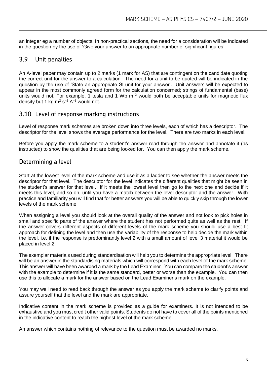an integer eg a number of objects. In non-practical sections, the need for a consideration will be indicated in the question by the use of 'Give your answer to an appropriate number of significant figures'.

#### 3.9 Unit penalties

An A-level paper may contain up to 2 marks (1 mark for AS) that are contingent on the candidate quoting the correct unit for the answer to a calculation. The need for a unit to be quoted will be indicated in the question by the use of 'State an appropriate SI unit for your answer'. Unit answers will be expected to appear in the most commonly agreed form for the calculation concerned; strings of fundamental (base) units would not. For example, 1 tesla and 1 Wb  $m<sup>-2</sup>$  would both be acceptable units for magnetic flux density but 1 kg m<sup>2</sup> s<sup>-2</sup> A<sup>-1</sup> would not.

#### 3.10 Level of response marking instructions

Level of response mark schemes are broken down into three levels, each of which has a descriptor. The descriptor for the level shows the average performance for the level. There are two marks in each level.

Before you apply the mark scheme to a student's answer read through the answer and annotate it (as instructed) to show the qualities that are being looked for. You can then apply the mark scheme.

#### Determining a level

Start at the lowest level of the mark scheme and use it as a ladder to see whether the answer meets the descriptor for that level. The descriptor for the level indicates the different qualities that might be seen in the student's answer for that level. If it meets the lowest level then go to the next one and decide if it meets this level, and so on, until you have a match between the level descriptor and the answer. With practice and familiarity you will find that for better answers you will be able to quickly skip through the lower levels of the mark scheme.

When assigning a level you should look at the overall quality of the answer and not look to pick holes in small and specific parts of the answer where the student has not performed quite as well as the rest. If the answer covers different aspects of different levels of the mark scheme you should use a best fit approach for defining the level and then use the variability of the response to help decide the mark within the level. i.e. if the response is predominantly level 2 with a small amount of level 3 material it would be placed in level 2.

The exemplar materials used during standardisation will help you to determine the appropriate level. There will be an answer in the standardising materials which will correspond with each level of the mark scheme. This answer will have been awarded a mark by the Lead Examiner. You can compare the student's answer with the example to determine if it is the same standard, better or worse than the example. You can then use this to allocate a mark for the answer based on the Lead Examiner's mark on the example.

You may well need to read back through the answer as you apply the mark scheme to clarify points and assure yourself that the level and the mark are appropriate.

Indicative content in the mark scheme is provided as a guide for examiners. It is not intended to be exhaustive and you must credit other valid points. Students do not have to cover all of the points mentioned in the indicative content to reach the highest level of the mark scheme.

An answer which contains nothing of relevance to the question must be awarded no marks.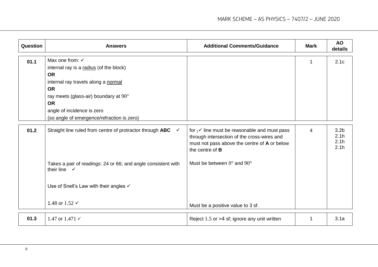| Question | <b>Answers</b>                                                                                                                                                                                                                                                           | <b>Additional Comments/Guidance</b>                                                                                                                                           | <b>Mark</b> | <b>AO</b><br>details                     |
|----------|--------------------------------------------------------------------------------------------------------------------------------------------------------------------------------------------------------------------------------------------------------------------------|-------------------------------------------------------------------------------------------------------------------------------------------------------------------------------|-------------|------------------------------------------|
| 01.1     | Max one from: $\checkmark$<br>internal ray is a radius (of the block)<br><b>OR</b><br>internal ray travels along a normal<br><b>OR</b><br>ray meets (glass-air) boundary at 90°<br><b>OR</b><br>angle of incidence is zero<br>(so angle of emergence/refraction is zero) |                                                                                                                                                                               |             | 2.1c                                     |
| 01.2     | Straight line ruled from centre of protractor through ABC<br>$\checkmark$                                                                                                                                                                                                | for $1^\prime$ line must be reasonable and must pass<br>through intersection of the cross-wires and<br>must not pass above the centre of A or below<br>the centre of <b>B</b> | 4           | 3.2 <sub>b</sub><br>2.1h<br>2.1h<br>2.1h |
|          | Takes a pair of readings: 24 or 66; and angle consistent with<br>their line $\checkmark$                                                                                                                                                                                 | Must be between $0^{\circ}$ and $90^{\circ}$                                                                                                                                  |             |                                          |
|          | Use of Snell's Law with their angles $\checkmark$                                                                                                                                                                                                                        |                                                                                                                                                                               |             |                                          |
|          | 1.48 or 1.52 $\checkmark$                                                                                                                                                                                                                                                | Must be a positive value to 3 sf.                                                                                                                                             |             |                                          |
| 01.3     | 1.47 or $1.471 \times$                                                                                                                                                                                                                                                   | Reject 1.5 or >4 sf; ignore any unit written                                                                                                                                  | 1           | 3.1a                                     |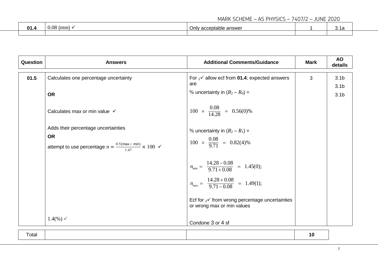#### MARK SCHEME – AS PHYSICS – 7407/2 – JUNE 2020

| በ1 | $\Omega$<br>(mm<br>v.v. | 100<br>┓.,<br><b>ЯІ</b><br>סאפו<br>້ | <b>v.</b> 14 |  |
|----|-------------------------|--------------------------------------|--------------|--|
|    |                         |                                      |              |  |

| Question | <b>Answers</b>                                                                                                                           | <b>Additional Comments/Guidance</b>                                                                                              | <b>Mark</b> | <b>AO</b><br>details                 |
|----------|------------------------------------------------------------------------------------------------------------------------------------------|----------------------------------------------------------------------------------------------------------------------------------|-------------|--------------------------------------|
| 01.5     | Calculates one percentage uncertainty                                                                                                    | For $1^\prime$ allow ecf from 01.4; expected answers<br>are                                                                      | 3           | 3.1 <sub>b</sub><br>3.1 <sub>b</sub> |
|          | <b>OR</b>                                                                                                                                | % uncertainty in $(R_2 - R_0) =$                                                                                                 |             | 3.1 <sub>b</sub>                     |
|          | Calculates max or min value √                                                                                                            | $100 \times \frac{0.08}{14.28} = 0.56(0)\%$                                                                                      |             |                                      |
|          | Adds their percentage uncertainties<br><b>OR</b><br>attempt to use percentage $n = \frac{0.5(\text{max} - \text{min})}{1.47} \times 100$ | % uncertainty in $(R_2 - R_1) =$<br>$100 \times \frac{0.08}{9.71} = 0.82(4)\%$                                                   |             |                                      |
|          |                                                                                                                                          | $n_{\text{min}} = \frac{14.28 - 0.08}{9.71 + 0.08} = 1.45(0);$<br>$n_{\text{max}} = \frac{14.28 + 0.08}{9.71 - 0.08} = 1.49(1);$ |             |                                      |
|          |                                                                                                                                          | Ecf for $2^{\checkmark}$ from wrong percentage uncertainties<br>or wrong max or min values                                       |             |                                      |
|          | $1.4(%) \checkmark$                                                                                                                      | Condone 3 or 4 sf                                                                                                                |             |                                      |

| olai |
|------|
|------|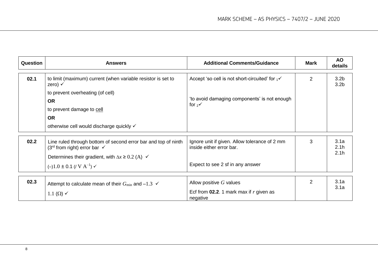| Question | <b>Answers</b>                                                                                              | <b>Additional Comments/Guidance</b>                                       | Mark           | <b>AO</b><br>details                 |
|----------|-------------------------------------------------------------------------------------------------------------|---------------------------------------------------------------------------|----------------|--------------------------------------|
| 02.1     | to limit (maximum) current (when variable resistor is set to<br>zero) $\checkmark$                          | Accept 'so cell is not short-circuited' for $1^\mathcal{N}$               | $\overline{2}$ | 3.2 <sub>b</sub><br>3.2 <sub>b</sub> |
|          | to prevent overheating (of cell)                                                                            |                                                                           |                |                                      |
|          | <b>OR</b>                                                                                                   | 'to avoid damaging components' is not enough<br>for $2^{\checkmark}$      |                |                                      |
|          | to prevent damage to cell                                                                                   |                                                                           |                |                                      |
|          | <b>OR</b>                                                                                                   |                                                                           |                |                                      |
|          | otherwise cell would discharge quickly √                                                                    |                                                                           |                |                                      |
|          |                                                                                                             |                                                                           |                |                                      |
| 02.2     | Line ruled through bottom of second error bar and top of ninth<br>$(3rd$ from right) error bar $\checkmark$ | Ignore unit if given. Allow tolerance of 2 mm<br>inside either error bar. | 3              | 3.1a<br>2.1 <sub>h</sub>             |
|          | Determines their gradient, with $\Delta x \geq 0.2$ (A) $\checkmark$                                        |                                                                           |                | 2.1h                                 |
|          | $(-)1.0 \pm 0.1$ (/ V A <sup>-1</sup> ) $\checkmark$                                                        | Expect to see 2 sf in any answer                                          |                |                                      |
|          |                                                                                                             |                                                                           |                |                                      |
| 02.3     | Attempt to calculate mean of their $G_{\text{min}}$ and $-1.3 \leq C$                                       | Allow positive $G$ values                                                 | $\overline{2}$ | 3.1a<br>3.1a                         |
|          | 1.1 $(\Omega)$ $\checkmark$                                                                                 | Ecf from $02.2$ . 1 mark max if r given as<br>negative                    |                |                                      |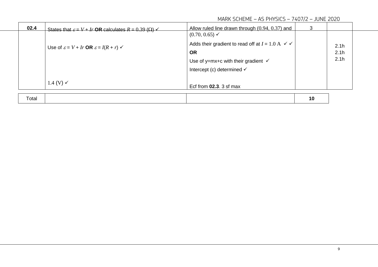#### MARK SCHEME – AS PHYSICS – 7407/2 – JUNE 2020

|                                                                      | 02.4                                                        | States that $\varepsilon = V + Ir$ OR calculates $R = 0.39$ ( $\Omega$ ) $\swarrow$ | Allow ruled line drawn through (0.94, 0.37) and | 3  |      |  |
|----------------------------------------------------------------------|-------------------------------------------------------------|-------------------------------------------------------------------------------------|-------------------------------------------------|----|------|--|
|                                                                      |                                                             |                                                                                     | $(0.70, 0.65) \checkmark$                       |    |      |  |
| Use of $\varepsilon = V + Ir$ OR $\varepsilon = I(R + r) \checkmark$ | Adds their gradient to read off at $I = 1.0$ A $\checkmark$ |                                                                                     | 2.1h                                            |    |      |  |
|                                                                      | <b>OR</b>                                                   |                                                                                     | 2.1 <sub>h</sub>                                |    |      |  |
|                                                                      |                                                             |                                                                                     | Use of y=mx+c with their gradient $\checkmark$  |    | 2.1h |  |
|                                                                      |                                                             |                                                                                     | Intercept (c) determined √                      |    |      |  |
|                                                                      |                                                             | 1.4 (V) $\checkmark$                                                                | Ecf from $02.3$ . 3 sf max                      |    |      |  |
|                                                                      | Total                                                       |                                                                                     |                                                 | 10 |      |  |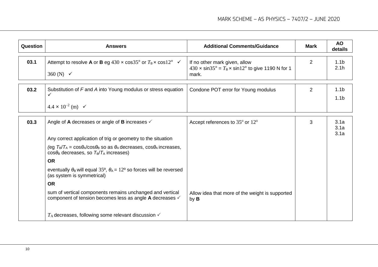| <b>Question</b> | <b>Answers</b>                                                                                                                                                                                                               | <b>Additional Comments/Guidance</b>                                                                                  | <b>Mark</b>    | <b>AO</b><br>details                 |
|-----------------|------------------------------------------------------------------------------------------------------------------------------------------------------------------------------------------------------------------------------|----------------------------------------------------------------------------------------------------------------------|----------------|--------------------------------------|
| 03.1            | Attempt to resolve <b>A</b> or <b>B</b> eg 430 $\times$ cos35° or $T_B \times \cos 12$ ° $\checkmark$<br>360 (N) $\checkmark$                                                                                                | If no other mark given, allow<br>$430 \times \sin 35^\circ = T_B \times \sin 12^\circ$ to give 1190 N for 1<br>mark. | $\overline{2}$ | 1.1 <sub>b</sub><br>2.1h             |
| 03.2            | Substitution of F and A into Young modulus or stress equation<br>$4.4 \times 10^{-2}$ (m) $\checkmark$                                                                                                                       | Condone POT error for Young modulus                                                                                  | $\overline{2}$ | 1.1 <sub>b</sub><br>1.1 <sub>b</sub> |
| 03.3            | Angle of A decreases or angle of B increases $\checkmark$<br>Any correct application of trig or geometry to the situation<br>(eg $T_B/T_A = \cos\theta_A/\cos\theta_B$ so as $\theta_A$ decreases, $\cos\theta_A$ increases, | Accept references to 35° or 12°                                                                                      | 3              | 3.1a<br>3.1a<br>3.1a                 |
|                 | $cos\theta_B$ decreases, so $T_B/T_A$ increases)<br><b>OR</b><br>eventually $\theta_B$ will equal 35°, $\theta_A = 12$ ° so forces will be reversed<br>(as system is symmetrical)                                            |                                                                                                                      |                |                                      |
|                 | <b>OR</b><br>sum of vertical components remains unchanged and vertical<br>component of tension becomes less as angle A decreases ✓<br>$T_A$ decreases, following some relevant discussion $\checkmark$                       | Allow idea that more of the weight is supported<br>by <b>B</b>                                                       |                |                                      |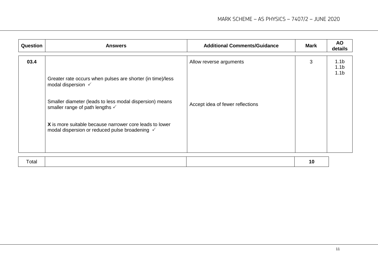| Question | <b>Answers</b>                                                                                                                                                                                                                                                                                         | <b>Additional Comments/Guidance</b>                         | <b>Mark</b> | <b>AO</b><br>details                                     |
|----------|--------------------------------------------------------------------------------------------------------------------------------------------------------------------------------------------------------------------------------------------------------------------------------------------------------|-------------------------------------------------------------|-------------|----------------------------------------------------------|
| 03.4     | Greater rate occurs when pulses are shorter (in time)/less<br>modal dispersion $\checkmark$<br>Smaller diameter (leads to less modal dispersion) means<br>smaller range of path lengths √<br>X is more suitable because narrower core leads to lower<br>modal dispersion or reduced pulse broadening √ | Allow reverse arguments<br>Accept idea of fewer reflections | 3           | 1.1 <sub>b</sub><br>1.1 <sub>b</sub><br>1.1 <sub>b</sub> |
|          |                                                                                                                                                                                                                                                                                                        |                                                             |             |                                                          |

| Total |  |
|-------|--|
|-------|--|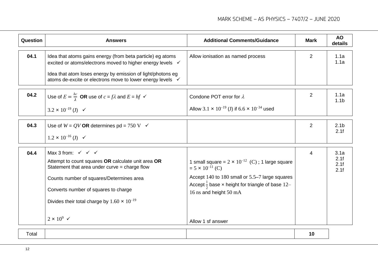| Question | <b>Answers</b>                                                                                                                                                                                                                                                                                                                          | <b>Additional Comments/Guidance</b>                                                                                                                                                                                                                   | <b>Mark</b>    | <b>AO</b><br>details         |
|----------|-----------------------------------------------------------------------------------------------------------------------------------------------------------------------------------------------------------------------------------------------------------------------------------------------------------------------------------------|-------------------------------------------------------------------------------------------------------------------------------------------------------------------------------------------------------------------------------------------------------|----------------|------------------------------|
| 04.1     | Idea that atoms gains energy (from beta particle) eg atoms<br>excited or atoms/electrons moved to higher energy levels √<br>Idea that atom loses energy by emission of light/photons eg<br>atoms de-excite or electrons move to lower energy levels √                                                                                   | Allow ionisation as named process                                                                                                                                                                                                                     | $\overline{2}$ | 1.1a<br>1.1a                 |
| 04.2     | Use of $E = \frac{hc}{\lambda}$ OR use of $c = f\lambda$ and $E = hf \checkmark$<br>$3.2 \times 10^{-19}$ (J) $\checkmark$                                                                                                                                                                                                              | Condone POT error for $\lambda$<br>Allow 3.1 $\times$ 10 <sup>-19</sup> (J) if 6.6 $\times$ 10 <sup>-34</sup> used                                                                                                                                    | $\overline{2}$ | 1.1a<br>1.1 <sub>b</sub>     |
| 04.3     | Use of $W = QV$ OR determines pd = 750 V $\checkmark$<br>$1.2 \times 10^{-16}$ (J) $\checkmark$                                                                                                                                                                                                                                         |                                                                                                                                                                                                                                                       | $\overline{2}$ | 2.1 <sub>b</sub><br>2.1f     |
| 04.4     | Max 3 from: $\checkmark$ $\checkmark$ $\checkmark$<br>Attempt to count squares OR calculate unit area OR<br>Statement that area under curve $=$ charge flow<br>Counts number of squares/Determines area<br>Converts number of squares to charge<br>Divides their total charge by $1.60 \times 10^{-19}$<br>$2 \times 10^9$ $\checkmark$ | 1 small square = $2 \times 10^{-12}$ (C); 1 large square<br>$= 5 \times 10^{-11}$ (C)<br>Accept 140 to 180 small or 5.5–7 large squares<br>Accept $\frac{1}{2}$ base x height for triangle of base 12-<br>16 ns and height 50 mA<br>Allow 1 sf answer | 4              | 3.1a<br>2.1f<br>2.1f<br>2.1f |
|          |                                                                                                                                                                                                                                                                                                                                         |                                                                                                                                                                                                                                                       |                |                              |

| Totar |  |  |
|-------|--|--|
|       |  |  |